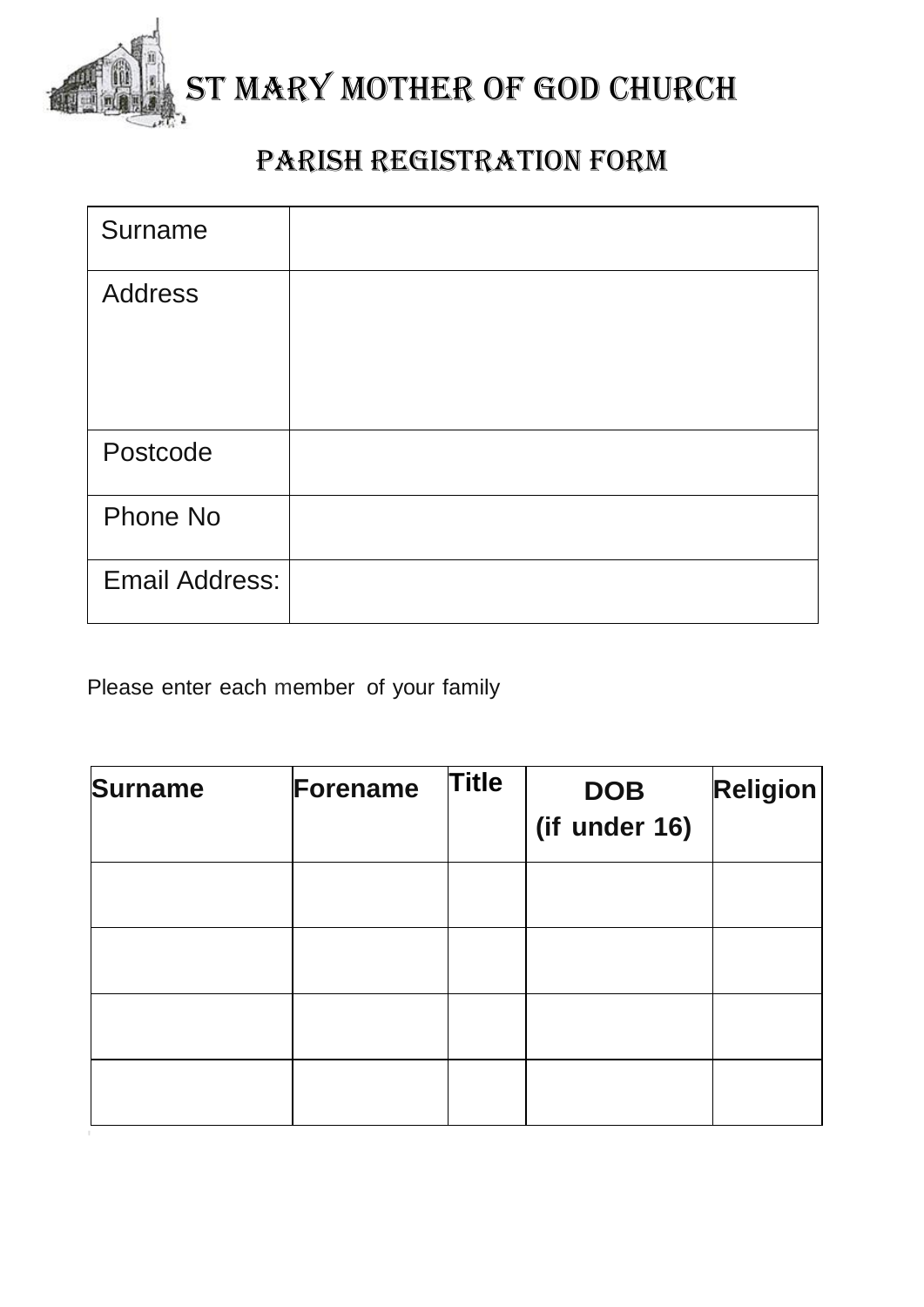

## ST MARY MOTHER OF GOD CHURCH

## Parish registration form

| Surname        |  |
|----------------|--|
| Address        |  |
|                |  |
| Postcode       |  |
| Phone No       |  |
| Email Address: |  |

Please enter each member of your family

| <b>Surname</b> | Forename | <b>Title</b> | <b>DOB</b><br>(if under 16) | <b>Religion</b> |
|----------------|----------|--------------|-----------------------------|-----------------|
|                |          |              |                             |                 |
|                |          |              |                             |                 |
|                |          |              |                             |                 |
|                |          |              |                             |                 |